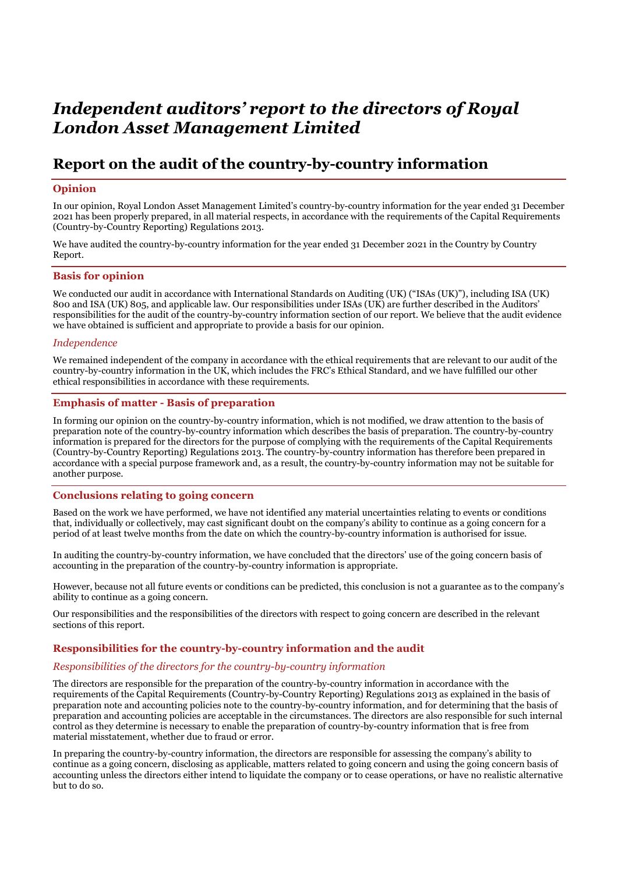# *Independent auditors' report to the directors of Royal London Asset Management Limited*

# **Report on the audit of the country-by-country information**

# **Opinion**

In our opinion, Royal London Asset Management Limited's country-by-country information for the year ended 31 December 2021 has been properly prepared, in all material respects, in accordance with the requirements of the Capital Requirements (Country-by-Country Reporting) Regulations 2013.

We have audited the country-by-country information for the year ended 31 December 2021 in the Country by Country Report.

#### **Basis for opinion**

We conducted our audit in accordance with International Standards on Auditing (UK) ("ISAs (UK)"), including ISA (UK) 800 and ISA (UK) 805, and applicable law. Our responsibilities under ISAs (UK) are further described in the Auditors' responsibilities for the audit of the country-by-country information section of our report. We believe that the audit evidence we have obtained is sufficient and appropriate to provide a basis for our opinion.

#### *Independence*

We remained independent of the company in accordance with the ethical requirements that are relevant to our audit of the country-by-country information in the UK, which includes the FRC's Ethical Standard, and we have fulfilled our other ethical responsibilities in accordance with these requirements.

### **Emphasis of matter - Basis of preparation**

In forming our opinion on the country-by-country information, which is not modified, we draw attention to the basis of preparation note of the country-by-country information which describes the basis of preparation. The country-by-country information is prepared for the directors for the purpose of complying with the requirements of the Capital Requirements (Country-by-Country Reporting) Regulations 2013. The country-by-country information has therefore been prepared in accordance with a special purpose framework and, as a result, the country-by-country information may not be suitable for another purpose.

#### **Conclusions relating to going concern**

Based on the work we have performed, we have not identified any material uncertainties relating to events or conditions that, individually or collectively, may cast significant doubt on the company's ability to continue as a going concern for a period of at least twelve months from the date on which the country-by-country information is authorised for issue.

In auditing the country-by-country information, we have concluded that the directors' use of the going concern basis of accounting in the preparation of the country-by-country information is appropriate.

However, because not all future events or conditions can be predicted, this conclusion is not a guarantee as to the company's ability to continue as a going concern.

Our responsibilities and the responsibilities of the directors with respect to going concern are described in the relevant sections of this report.

#### **Responsibilities for the country-by-country information and the audit**

#### *Responsibilities of the directors for the country-by-country information*

The directors are responsible for the preparation of the country-by-country information in accordance with the requirements of the Capital Requirements (Country-by-Country Reporting) Regulations 2013 as explained in the basis of preparation note and accounting policies note to the country-by-country information, and for determining that the basis of preparation and accounting policies are acceptable in the circumstances. The directors are also responsible for such internal control as they determine is necessary to enable the preparation of country-by-country information that is free from material misstatement, whether due to fraud or error.

In preparing the country-by-country information, the directors are responsible for assessing the company's ability to continue as a going concern, disclosing as applicable, matters related to going concern and using the going concern basis of accounting unless the directors either intend to liquidate the company or to cease operations, or have no realistic alternative but to do so.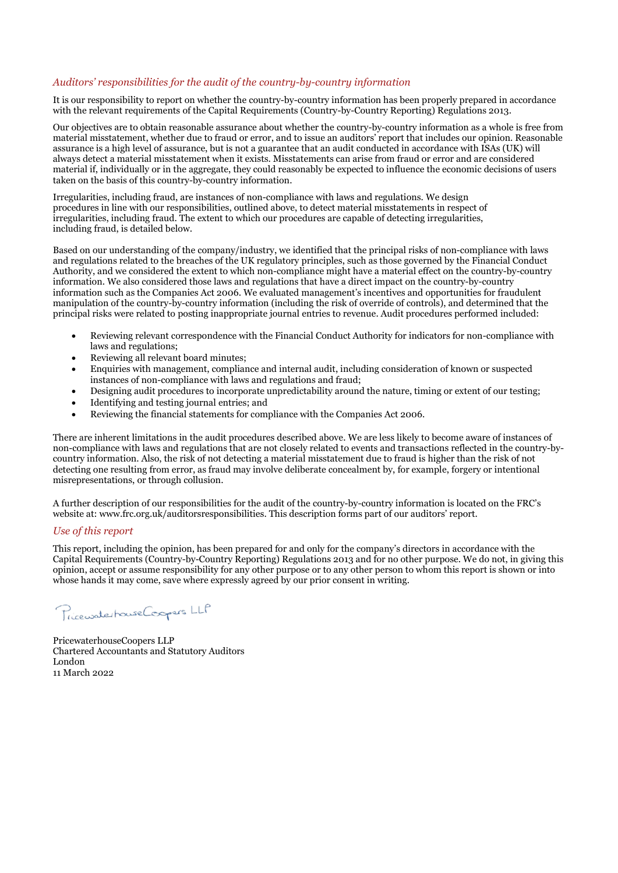# *Auditors' responsibilities for the audit of the country-by-country information*

It is our responsibility to report on whether the country-by-country information has been properly prepared in accordance with the relevant requirements of the Capital Requirements (Country-by-Country Reporting) Regulations 2013.

Our objectives are to obtain reasonable assurance about whether the country-by-country information as a whole is free from material misstatement, whether due to fraud or error, and to issue an auditors' report that includes our opinion. Reasonable assurance is a high level of assurance, but is not a guarantee that an audit conducted in accordance with ISAs (UK) will always detect a material misstatement when it exists. Misstatements can arise from fraud or error and are considered material if, individually or in the aggregate, they could reasonably be expected to influence the economic decisions of users taken on the basis of this country-by-country information.

Irregularities, including fraud, are instances of non-compliance with laws and regulations. We design procedures in line with our responsibilities, outlined above, to detect material misstatements in respect of irregularities, including fraud. The extent to which our procedures are capable of detecting irregularities, including fraud, is detailed below.

Based on our understanding of the company/industry, we identified that the principal risks of non-compliance with laws and regulations related to the breaches of the UK regulatory principles, such as those governed by the Financial Conduct Authority, and we considered the extent to which non-compliance might have a material effect on the country-by-country information. We also considered those laws and regulations that have a direct impact on the country-by-country information such as the Companies Act 2006. We evaluated management's incentives and opportunities for fraudulent manipulation of the country-by-country information (including the risk of override of controls), and determined that the principal risks were related to posting inappropriate journal entries to revenue. Audit procedures performed included:

- Reviewing relevant correspondence with the Financial Conduct Authority for indicators for non-compliance with laws and regulations;
- Reviewing all relevant board minutes;
- Enquiries with management, compliance and internal audit, including consideration of known or suspected instances of non-compliance with laws and regulations and fraud;
- Designing audit procedures to incorporate unpredictability around the nature, timing or extent of our testing;
- Identifying and testing journal entries; and
- Reviewing the financial statements for compliance with the Companies Act 2006.

There are inherent limitations in the audit procedures described above. We are less likely to become aware of instances of non-compliance with laws and regulations that are not closely related to events and transactions reflected in the country-bycountry information. Also, the risk of not detecting a material misstatement due to fraud is higher than the risk of not detecting one resulting from error, as fraud may involve deliberate concealment by, for example, forgery or intentional misrepresentations, or through collusion.

A further description of our responsibilities for the audit of the country-by-country information is located on the FRC's website at: www.frc.org.uk/auditorsresponsibilities. This description forms part of our auditors' report.

#### *Use of this report*

This report, including the opinion, has been prepared for and only for the company's directors in accordance with the Capital Requirements (Country-by-Country Reporting) Regulations 2013 and for no other purpose. We do not, in giving this opinion, accept or assume responsibility for any other purpose or to any other person to whom this report is shown or into whose hands it may come, save where expressly agreed by our prior consent in writing.

Pricewaterhouse Coopers LLP

PricewaterhouseCoopers LLP Chartered Accountants and Statutory Auditors London 11 March 2022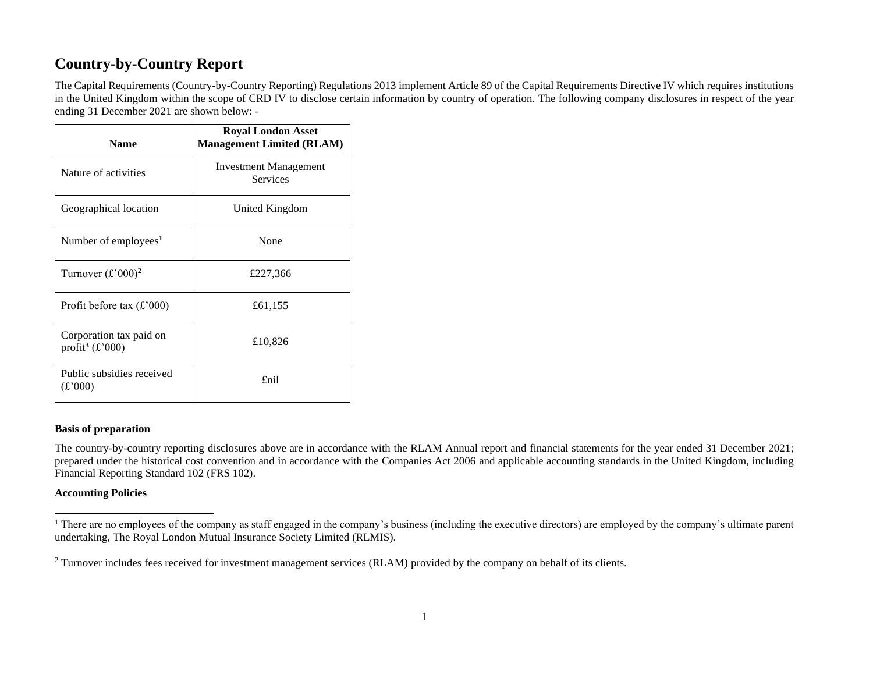# **Country-by-Country Report**

The Capital Requirements (Country-by-Country Reporting) Regulations 2013 implement Article 89 of the Capital Requirements Directive IV which requires institutions in the United Kingdom within the scope of CRD IV to disclose certain information by country of operation. The following company disclosures in respect of the year ending 31 December 2021 are shown below: -

| <b>Name</b>                                            | <b>Royal London Asset</b><br><b>Management Limited (RLAM)</b> |
|--------------------------------------------------------|---------------------------------------------------------------|
| Nature of activities                                   | <b>Investment Management</b><br><b>Services</b>               |
| Geographical location                                  | United Kingdom                                                |
| Number of employees <sup>1</sup>                       | None                                                          |
| Turnover $(\text{\pounds}^2000)^2$                     | £227,366                                                      |
| Profit before tax $(\text{\pounds}$ '000)              | £61,155                                                       |
| Corporation tax paid on<br>profit <sup>3</sup> (£'000) | £10,826                                                       |
| Public subsidies received<br>$(\pounds 000)$           | £nil                                                          |

# **Basis of preparation**

The country-by-country reporting disclosures above are in accordance with the RLAM Annual report and financial statements for the year ended 31 December 2021; prepared under the historical cost convention and in accordance with the Companies Act 2006 and applicable accounting standards in the United Kingdom, including Financial Reporting Standard 102 (FRS 102).

#### **Accounting Policies**

<sup>&</sup>lt;sup>1</sup> There are no employees of the company as staff engaged in the company's business (including the executive directors) are employed by the company's ultimate parent undertaking, The Royal London Mutual Insurance Society Limited (RLMIS).

<sup>&</sup>lt;sup>2</sup> Turnover includes fees received for investment management services (RLAM) provided by the company on behalf of its clients.